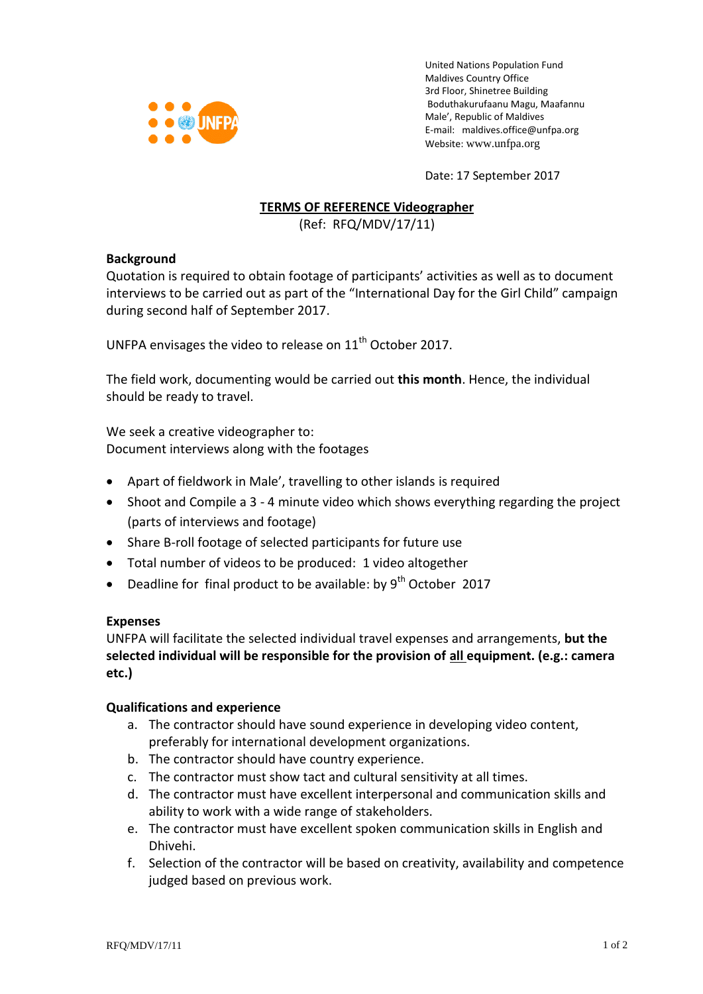

United Nations Population Fund Maldives Country Office 3rd Floor, Shinetree Building Boduthakurufaanu Magu, Maafannu Male', Republic of Maldives E-mail: [maldives.office@unfpa.org](mailto:maldives.office@unfpa.org) Website: [www.unfpa.org](http://www.unfpa.org/)

Date: 17 September 2017

# **TERMS OF REFERENCE Videographer**

(Ref: RFQ/MDV/17/11)

## **Background**

Quotation is required to obtain footage of participants' activities as well as to document interviews to be carried out as part of the "International Day for the Girl Child" campaign during second half of September 2017.

UNFPA envisages the video to release on 11<sup>th</sup> October 2017.

The field work, documenting would be carried out **this month**. Hence, the individual should be ready to travel.

We seek a creative videographer to: Document interviews along with the footages

- Apart of fieldwork in Male', travelling to other islands is required
- Shoot and Compile a 3 4 minute video which shows everything regarding the project (parts of interviews and footage)
- Share B-roll footage of selected participants for future use
- Total number of videos to be produced: 1 video altogether
- Deadline for final product to be available: by 9<sup>th</sup> October 2017

## **Expenses**

UNFPA will facilitate the selected individual travel expenses and arrangements, **but the selected individual will be responsible for the provision of all equipment. (e.g.: camera etc.)**

## **Qualifications and experience**

- a. The contractor should have sound experience in developing video content, preferably for international development organizations.
- b. The contractor should have country experience.
- c. The contractor must show tact and cultural sensitivity at all times.
- d. The contractor must have excellent interpersonal and communication skills and ability to work with a wide range of stakeholders.
- e. The contractor must have excellent spoken communication skills in English and Dhivehi.
- f. Selection of the contractor will be based on creativity, availability and competence judged based on previous work.